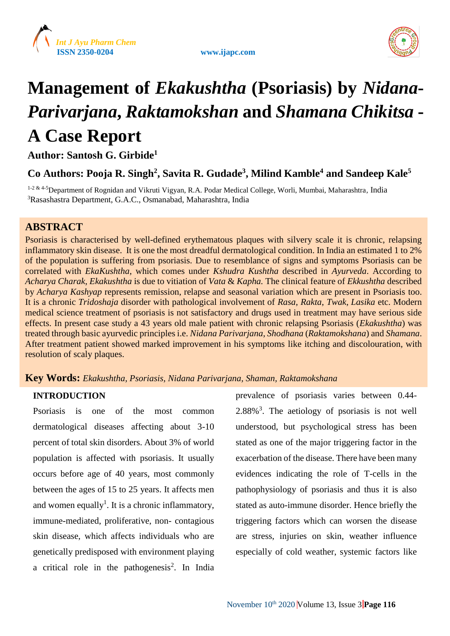





# **Management of** *Ekakushtha* **(Psoriasis) by** *Nidana***-***Parivarjana***,** *Raktamokshan* **and** *Shamana Chikitsa* **- A Case Report**

**Author: Santosh G. Girbide<sup>1</sup>**

**Co Authors: Pooja R. Singh<sup>2</sup> , Savita R. Gudade<sup>3</sup> , Milind Kamble<sup>4</sup> and Sandeep Kale<sup>5</sup>**

<sup>1-2 & 4-5</sup>Department of Rognidan and Vikruti Vigyan, R.A. Podar Medical College, Worli, Mumbai, Maharashtra, India <sup>3</sup>Rasashastra Department, G.A.C., Osmanabad, Maharashtra, India

# **ABSTRACT**

Psoriasis is characterised by well-defined erythematous plaques with silvery scale it is chronic, relapsing inflammatory skin disease. It is one the most dreadful dermatological condition. In India an estimated 1 to 2% of the population is suffering from psoriasis. Due to resemblance of signs and symptoms Psoriasis can be correlated with *EkaKushtha*, which comes under *Kshudra Kushtha* described in *Ayurveda*. According to *Acharya Charak*, *Ekakushtha* is due to vitiation of *Vata* & *Kapha.* The clinical feature of *Ekkushtha* described by *Acharya Kashyap* represents remission, relapse and seasonal variation which are present in Psoriasis too. It is a chronic *Tridoshaja* disorder with pathological involvement of *Rasa*, *Rakta*, *Twak*, *Lasika* etc. Modern medical science treatment of psoriasis is not satisfactory and drugs used in treatment may have serious side effects. In present case study a 43 years old male patient with chronic relapsing Psoriasis (*Ekakushtha*) was treated through basic ayurvedic principles i.e. *Nidana Parivarjana*, *Shodhana* (*Raktamokshana*) and *Shamana*. After treatment patient showed marked improvement in his symptoms like itching and discolouration, with resolution of scaly plaques.

# **Key Words:** *Ekakushtha, Psoriasis, Nidana Parivarjana, Shaman, Raktamokshana*

# **INTRODUCTION**

Psoriasis is one of the most common dermatological diseases affecting about 3-10 percent of total skin disorders. About 3% of world population is affected with psoriasis. It usually occurs before age of 40 years, most commonly between the ages of 15 to 25 years. It affects men and women equally<sup>1</sup>. It is a chronic inflammatory, immune-mediated, proliferative, non- contagious skin disease, which affects individuals who are genetically predisposed with environment playing a critical role in the pathogenesis<sup>2</sup>. In India prevalence of psoriasis varies between 0.44-  $2.88\%$ <sup>3</sup>. The aetiology of psoriasis is not well understood, but psychological stress has been stated as one of the major triggering factor in the exacerbation of the disease. There have been many evidences indicating the role of T-cells in the pathophysiology of psoriasis and thus it is also stated as auto-immune disorder. Hence briefly the triggering factors which can worsen the disease are stress, injuries on skin, weather influence especially of cold weather, systemic factors like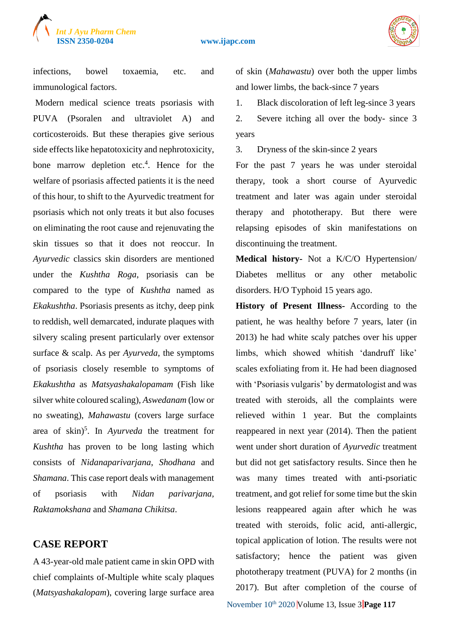

infections, bowel toxaemia, etc. and immunological factors.

Modern medical science treats psoriasis with PUVA (Psoralen and ultraviolet A) and corticosteroids. But these therapies give serious side effects like hepatotoxicity and nephrotoxicity, bone marrow depletion etc.<sup>4</sup>. Hence for the welfare of psoriasis affected patients it is the need of this hour, to shift to the Ayurvedic treatment for psoriasis which not only treats it but also focuses on eliminating the root cause and rejenuvating the skin tissues so that it does not reoccur. In *Ayurvedic* classics skin disorders are mentioned under the *Kushtha Roga*, psoriasis can be compared to the type of *Kushtha* named as *Ekakushtha*. Psoriasis presents as itchy, deep pink to reddish, well demarcated, indurate plaques with silvery scaling present particularly over extensor surface & scalp. As per *Ayurveda*, the symptoms of psoriasis closely resemble to symptoms of *Ekakushtha* as *Matsyashakalopamam* (Fish like silver white coloured scaling), *Aswedanam* (low or no sweating), *Mahawastu* (covers large surface area of skin)<sup>5</sup> . In *Ayurveda* the treatment for *Kushtha* has proven to be long lasting which consists of *Nidanaparivarjana*, *Shodhana* and *Shamana*. This case report deals with management of psoriasis with *Nidan parivarjana, Raktamokshana* and *Shamana Chikitsa*.

# **CASE REPORT**

A 43-year-old male patient came in skin OPD with chief complaints of-Multiple white scaly plaques (*Matsyashakalopam*), covering large surface area of skin (*Mahawastu*) over both the upper limbs and lower limbs, the back-since 7 years

1. Black discoloration of left leg-since 3 years 2. Severe itching all over the body- since 3 years

3. Dryness of the skin-since 2 years

For the past 7 years he was under steroidal therapy, took a short course of Ayurvedic treatment and later was again under steroidal therapy and phototherapy. But there were relapsing episodes of skin manifestations on discontinuing the treatment.

**Medical history-** Not a K/C/O Hypertension/ Diabetes mellitus or any other metabolic disorders. H/O Typhoid 15 years ago.

**History of Present Illness-** According to the patient, he was healthy before 7 years, later (in 2013) he had white scaly patches over his upper limbs, which showed whitish 'dandruff like' scales exfoliating from it. He had been diagnosed with 'Psoriasis vulgaris' by dermatologist and was treated with steroids, all the complaints were relieved within 1 year. But the complaints reappeared in next year (2014). Then the patient went under short duration of *Ayurvedic* treatment but did not get satisfactory results. Since then he was many times treated with anti-psoriatic treatment, and got relief for some time but the skin lesions reappeared again after which he was treated with steroids, folic acid, anti-allergic, topical application of lotion. The results were not satisfactory; hence the patient was given phototherapy treatment (PUVA) for 2 months (in 2017). But after completion of the course of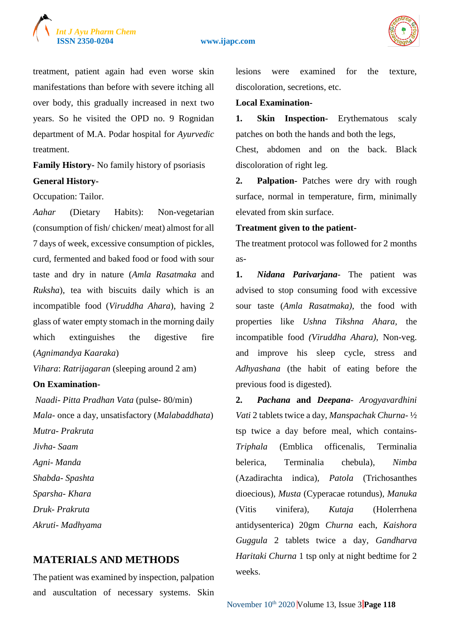



treatment, patient again had even worse skin manifestations than before with severe itching all over body, this gradually increased in next two years. So he visited the OPD no. 9 Rognidan department of M.A. Podar hospital for *Ayurvedic* treatment.

**Family History-** No family history of psoriasis **General History-**

Occupation: Tailor.

*Aahar* (Dietary Habits): Non-vegetarian (consumption of fish/ chicken/ meat) almost for all 7 days of week, excessive consumption of pickles, curd, fermented and baked food or food with sour taste and dry in nature (*Amla Rasatmaka* and *Ruksha*), tea with biscuits daily which is an incompatible food (*Viruddha Ahara*), having 2 glass of water empty stomach in the morning daily which extinguishes the digestive fire (*Agnimandya Kaaraka*)

*Vihara*: *Ratrijagaran* (sleeping around 2 am)

#### **On Examination-**

*Naadi- Pitta Pradhan Vata* (pulse- 80/min) *Mala*- once a day, unsatisfactory (*Malabaddhata*) *Mutra- Prakruta Jivha- Saam Agni- Manda Shabda- Spashta Sparsha- Khara Druk- Prakruta Akruti- Madhyama*

# **MATERIALS AND METHODS**

The patient was examined by inspection, palpation and auscultation of necessary systems. Skin

lesions were examined for the texture, discoloration, secretions, etc.

#### **Local Examination-**

**1. Skin Inspection-** Erythematous scaly patches on both the hands and both the legs,

Chest, abdomen and on the back. Black discoloration of right leg.

**2. Palpation-** Patches were dry with rough surface, normal in temperature, firm, minimally elevated from skin surface.

#### **Treatment given to the patient-**

The treatment protocol was followed for 2 months as-

**1.** *Nidana Parivarjana*- The patient was advised to stop consuming food with excessive sour taste (*Amla Rasatmaka)*, the food with properties like *Ushna Tikshna Ahara,* the incompatible food *(Viruddha Ahara)*, Non-veg. and improve his sleep cycle, stress and *Adhyashana* (the habit of eating before the previous food is digested)*.*

**2.** *Pachana* **and** *Deepana*- *Arogyavardhini Vati* 2 tablets twice a day, *Manspachak Churna*- ½ tsp twice a day before meal*,* which contains-*Triphala* (Emblica officenalis, Terminalia belerica, Terminalia chebula)*, Nimba* (Azadirachta indica)*, Patola* (Trichosanthes dioecious)*, Musta* (Cyperacae rotundus)*, Manuka*  (Vitis vinifera)*, Kutaja* (Holerrhena antidysenterica) 20gm *Churna* each, *Kaishora Guggula* 2 tablets twice a day*, Gandharva Haritaki Churna* 1 tsp only at night bedtime for 2 weeks.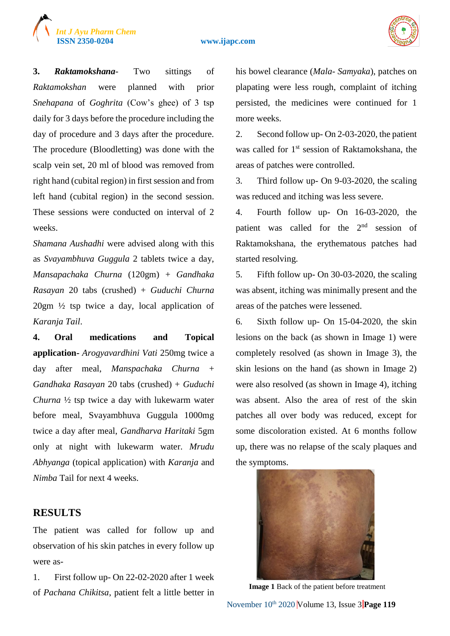

**3.** *Raktamokshana*- Two sittings of *Raktamokshan* were planned with prior *Snehapana* of *Goghrita* (Cow's ghee) of 3 tsp daily for 3 days before the procedure including the day of procedure and 3 days after the procedure. The procedure (Bloodletting) was done with the scalp vein set, 20 ml of blood was removed from right hand (cubital region) in first session and from left hand (cubital region) in the second session. These sessions were conducted on interval of 2 weeks.

*Int J Ayu Pharm Chem*

*Shamana Aushadhi* were advised along with this as *Svayambhuva Guggula* 2 tablets twice a day, *Mansapachaka Churna* (120gm) + *Gandhaka Rasayan* 20 tabs (crushed) + *Guduchi Churna* 20gm ½ tsp twice a day, local application of *Karanja Tail*.

**4. Oral medications and Topical application-** *Arogyavardhini Vati* 250mg twice a day after meal, *Manspachaka Churna* + *Gandhaka Rasayan* 20 tabs (crushed) + *Guduchi Churna* ½ tsp twice a day with lukewarm water before meal, Svayambhuva Guggula 1000mg twice a day after meal, *Gandharva Haritaki* 5gm only at night with lukewarm water. *Mrudu Abhyanga* (topical application) with *Karanja* and *Nimba* Tail for next 4 weeks.

# **RESULTS**

The patient was called for follow up and observation of his skin patches in every follow up were as-

1. First follow up- On 22-02-2020 after 1 week of *Pachana Chikitsa*, patient felt a little better in his bowel clearance (*Mala*- *Samyaka*), patches on plapating were less rough, complaint of itching persisted, the medicines were continued for 1 more weeks.

2. Second follow up- On 2-03-2020, the patient was called for 1<sup>st</sup> session of Raktamokshana, the areas of patches were controlled.

3. Third follow up- On 9-03-2020, the scaling was reduced and itching was less severe.

4. Fourth follow up- On 16-03-2020, the patient was called for the  $2<sup>nd</sup>$  session of Raktamokshana, the erythematous patches had started resolving.

5. Fifth follow up- On 30-03-2020, the scaling was absent, itching was minimally present and the areas of the patches were lessened.

6. Sixth follow up- On 15-04-2020, the skin lesions on the back (as shown in Image 1) were completely resolved (as shown in Image 3), the skin lesions on the hand (as shown in Image 2) were also resolved (as shown in Image 4), itching was absent. Also the area of rest of the skin patches all over body was reduced, except for some discoloration existed. At 6 months follow up, there was no relapse of the scaly plaques and the symptoms.



 **Image 1** Back of the patient before treatment

November 10th 2020 Volume 13, Issue 3 **Page 119**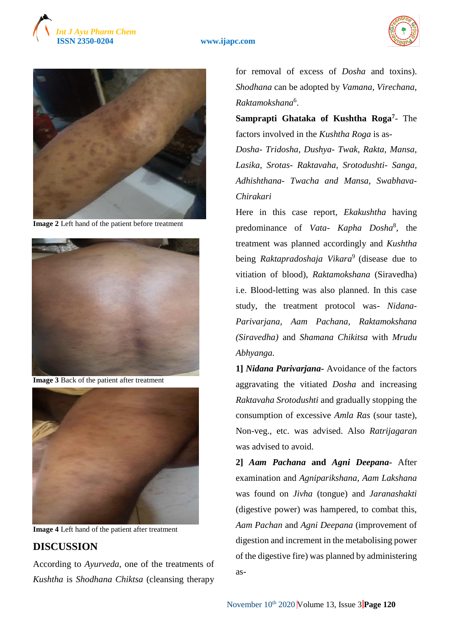





**Image 2** Left hand of the patient before treatment



**Image 3** Back of the patient after treatment



**Image 4** Left hand of the patient after treatment

# **DISCUSSION**

According to *Ayurveda*, one of the treatments of *Kushtha* is *Shodhana Chiktsa* (cleansing therapy

for removal of excess of *Dosha* and toxins). *Shodhana* can be adopted by *Vamana*, *Virechana*, *Raktamokshana*<sup>6</sup> .

**Samprapti Ghataka of Kushtha Roga<sup>7</sup>** - The factors involved in the *Kushtha Roga* is as-*Dosha*- *Tridosha, Dushya- Twak, Rakta, Mansa, Lasika, Srotas- Raktavaha, Srotodushti- Sanga, Adhishthana- Twacha and Mansa, Swabhava-Chirakari*

Here in this case report, *Ekakushtha* having predominance of *Vata- Kapha Dosha*<sup>8</sup> , the treatment was planned accordingly and *Kushtha* being *Raktapradoshaja Vikara*<sup>9</sup> (disease due to vitiation of blood), *Raktamokshana* (Siravedha) i.e. Blood-letting was also planned. In this case study, the treatment protocol was- *Nidana-Parivarjana, Aam Pachana, Raktamokshana (Siravedha)* and *Shamana Chikitsa* with *Mrudu Abhyanga.*

**1]** *Nidana Parivarjana***-** Avoidance of the factors aggravating the vitiated *Dosha* and increasing *Raktavaha Srotodushti* and gradually stopping the consumption of excessive *Amla Ras* (sour taste), Non-veg., etc. was advised. Also *Ratrijagaran* was advised to avoid.

**2]** *Aam Pachana* **and** *Agni Deepana***-** After examination and *Agniparikshana*, *Aam Lakshana* was found on *Jivha* (tongue) and *Jaranashakti* (digestive power) was hampered, to combat this, *Aam Pachan* and *Agni Deepana* (improvement of digestion and increment in the metabolising power of the digestive fire) was planned by administering as-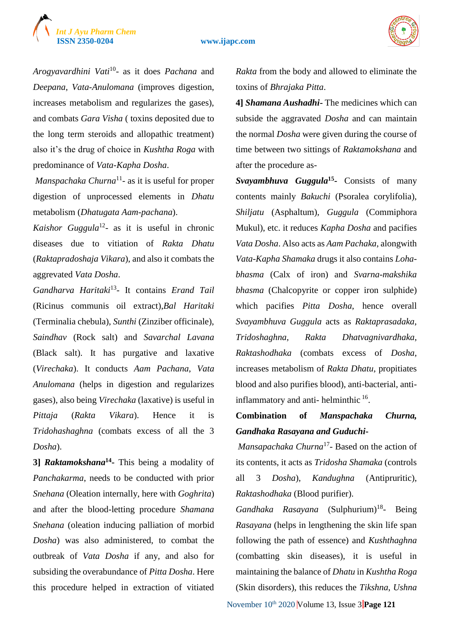# *Int J Ayu Pharm Chem*

#### **ISSN 2350-0204 www.ijapc.com**



*Arogyavardhini Vati*<sup>10</sup> - as it does *Pachana* and *Deepana*, *Vata*-*Anulomana* (improves digestion, increases metabolism and regularizes the gases), and combats *Gara Visha* ( toxins deposited due to the long term steroids and allopathic treatment) also it's the drug of choice in *Kushtha Roga* with predominance of *Vata*-*Kapha Dosha*.

*Manspachaka Churna*<sup>11</sup> - as it is useful for proper digestion of unprocessed elements in *Dhatu* metabolism (*Dhatugata Aam*-*pachana*).

*Kaishor Guggula*<sup>12</sup> - as it is useful in chronic diseases due to vitiation of *Rakta Dhatu* (*Raktapradoshaja Vikara*), and also it combats the aggrevated *Vata Dosha*.

*Gandharva Haritaki*<sup>13</sup> - It contains *Erand Tail* (Ricinus communis oil extract),*Bal Haritaki* (Terminalia chebula), *Sunthi* (Zinziber officinale), *Saindhav* (Rock salt) and *Savarchal Lavana* (Black salt). It has purgative and laxative (*Virechaka*). It conducts *Aam Pachana*, *Vata Anulomana* (helps in digestion and regularizes gases), also being *Virechaka* (laxative) is useful in *Pittaja* (*Rakta Vikara*). Hence it is *Tridohashaghna* (combats excess of all the 3 *Dosha*).

**3]** *Raktamokshana***<sup>14</sup> -** This being a modality of *Panchakarma*, needs to be conducted with prior *Snehana* (Oleation internally, here with *Goghrita*) and after the blood-letting procedure *Shamana Snehana* (oleation inducing palliation of morbid *Dosha*) was also administered, to combat the outbreak of *Vata Dosha* if any, and also for subsiding the overabundance of *Pitta Dosha*. Here this procedure helped in extraction of vitiated

*Rakta* from the body and allowed to eliminate the toxins of *Bhrajaka Pitta*.

**4]** *Shamana Aushadhi***-** The medicines which can subside the aggravated *Dosha* and can maintain the normal *Dosha* were given during the course of time between two sittings of *Raktamokshana* and after the procedure as-

*Svayambhuva Guggula***<sup>15</sup> -** Consists of many contents mainly *Bakuchi* (Psoralea corylifolia)*, Shiljatu* (Asphaltum)*, Guggula* (Commiphora Mukul), etc. it reduces *Kapha Dosha* and pacifies *Vata Dosha*. Also acts as *Aam Pachaka*, alongwith *Vata-Kapha Shamaka* drugs it also contains *Lohabhasma* (Calx of iron) and *Svarna*-*makshika bhasma* (Chalcopyrite or copper iron sulphide) which pacifies *Pitta Dosha*, hence overall *Svayambhuva Guggula* acts as *Raktaprasadaka*, *Tridoshaghna*, *Rakta Dhatvagnivardhaka*, *Raktashodhaka* (combats excess of *Dosha*, increases metabolism of *Rakta Dhatu*, propitiates blood and also purifies blood), anti-bacterial, antiinflammatory and anti-helminthic <sup>16</sup>.

# **Combination of** *Manspachaka Churna, Gandhaka Rasayana and Guduchi***-**

*Mansapachaka Churna*<sup>17</sup> - Based on the action of its contents, it acts as *Tridosha Shamaka* (controls all 3 *Dosha*), *Kandughna* (Antipruritic), *Raktashodhaka* (Blood purifier).

Gandhaka Rasayana (Sulphurium)<sup>18</sup>- Being *Rasayana* (helps in lengthening the skin life span following the path of essence) and *Kushthaghna* (combatting skin diseases), it is useful in maintaining the balance of *Dhatu* in *Kushtha Roga* (Skin disorders), this reduces the *Tikshna*, *Ushna* 

November  $10^{th}$  2020 Volume 13, Issue  $3$  **Page 121**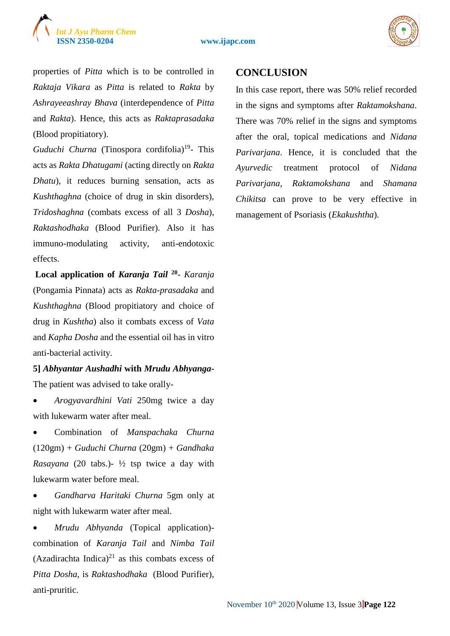# *Int J Ayu Pharm Chem*

#### **ISSN 2350-0204 www.ijapc.com**



properties of *Pitta* which is to be controlled in *Raktaja Vikara* as *Pitta* is related to *Rakta* by *Ashrayeeashray Bhava* (interdependence of *Pitta* and *Rakta*). Hence, this acts as *Raktaprasadaka* (Blood propitiatory).

Guduchi Churna (Tinospora cordifolia)<sup>19</sup>- This acts as *Rakta Dhatugami* (acting directly on *Rakta Dhatu*), it reduces burning sensation, acts as *Kushthaghna* (choice of drug in skin disorders), *Tridoshaghna* (combats excess of all 3 *Dosha*), *Raktashodhaka* (Blood Purifier). Also it has immuno-modulating activity, anti-endotoxic effects.

**Local application of** *Karanja Tail* **<sup>20</sup>** - *Karanja*  (Pongamia Pinnata) acts as *Rakta-prasadaka* and *Kushthaghna* (Blood propitiatory and choice of drug in *Kushtha*) also it combats excess of *Vata* and *Kapha Dosha* and the essential oil has in vitro anti-bacterial activity.

**5]** *Abhyantar Aushadhi* **with** *Mrudu Abhyanga***-**The patient was advised to take orally-

 *Arogyavardhini Vati* 250mg twice a day with lukewarm water after meal.

 Combination of *Manspachaka Churna* (120gm) + *Guduchi Churna* (20gm) + *Gandhaka Rasayana* (20 tabs.)- ½ tsp twice a day with lukewarm water before meal.

 *Gandharva Haritaki Churna* 5gm only at night with lukewarm water after meal.

 *Mrudu Abhyanda* (Topical application) combination of *Karanja Tail* and *Nimba Tail* (Azadirachta Indica) $^{21}$  as this combats excess of *Pitta Dosha*, is *Raktashodhaka* (Blood Purifier), anti-pruritic.

# **CONCLUSION**

In this case report, there was 50% relief recorded in the signs and symptoms after *Raktamokshana*. There was 70% relief in the signs and symptoms after the oral, topical medications and *Nidana Parivarjana*. Hence, it is concluded that the *Ayurvedic* treatment protocol of *Nidana Parivarjana*, *Raktamokshana* and *Shamana Chikitsa* can prove to be very effective in management of Psoriasis (*Ekakushtha*).